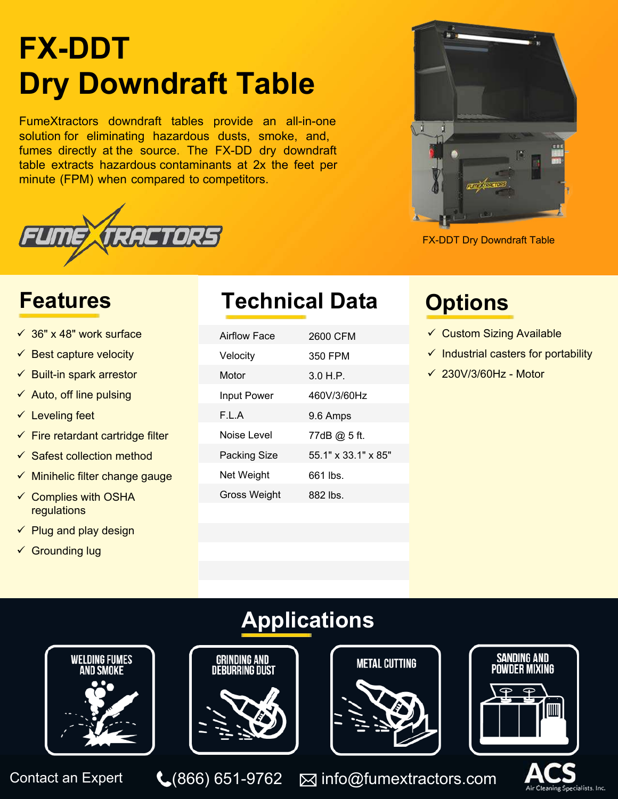# **FX-DDT Dry Downdraft Table**

FumeXtractors downdraft tables provide an all-in-one solution for eliminating hazardous dusts, smoke, and, fumes directly at the source. The FX-DD dry downdraft table extracts hazardous contaminants at 2x the feet per minute (FPM) when compared to competitors.





FX-DDT Dry Downdraft Table

- $\checkmark$  36" x 48" work surface
- $\checkmark$  Best capture velocity
- $\checkmark$  Built-in spark arrestor
- $\checkmark$  Auto, off line pulsing
- $\checkmark$  Leveling feet
- $\checkmark$  Fire retardant cartridge filter
- $\checkmark$  Safest collection method
- $\checkmark$  Minihelic filter change gauge
- $\checkmark$  Complies with OSHA regulations
- $\checkmark$  Plug and play design
- $\checkmark$  Grounding lug

## **Features Technical Data Options**

| <b>Airflow Face</b> | 2600 CFM            |
|---------------------|---------------------|
| Velocity            | 350 FPM             |
| Motor               | 3.0 H.P.            |
| <b>Input Power</b>  | 460V/3/60Hz         |
| F.L.A               | 9.6 Amps            |
| Noise Level         | 77dB @ 5 ft.        |
| <b>Packing Size</b> | 55.1" x 33.1" x 85" |
| Net Weight          | 661 lbs.            |
| Gross Weight        | 882 lbs.            |
|                     |                     |

- $\checkmark$  Custom Sizing Available
- $\checkmark$  Industrial casters for portability
- $\times$  230V/3/60Hz Motor

# **Applications**



Contact an Expert  $\bigcup_{(866) 651-9762}$   $\boxtimes$  info@fumextractors.com  $\bigcup_{\text{Air C}(\text{satisfies } \text{1nc})}$